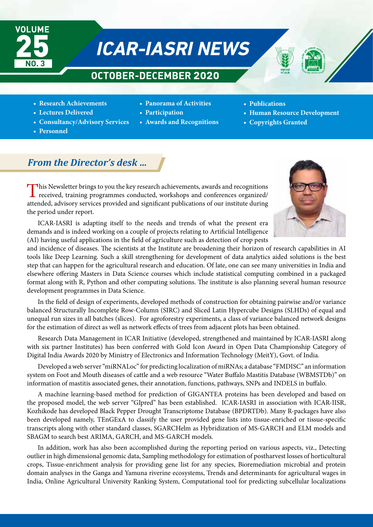

# **ICAR-IASRI NEWS**

# **OCTOBER-DECEMBER 2020**



- **Panorama of Activities**
- **Lectures Delivered**
- **Consultancy/Advisory Services**
- **Personnel**
- **Participation**
- **Awards and Recognitions**
- **Publications**
- **Human Resource Development**
- **Copyrights Granted**

# *From the Director's desk …*

This Newsletter brings to you the key research achievements, awards and recognitions received, training programmes conducted, workshops and conferences organized/ attended, advisory services provided and significant publications of our institute during the period under report.



ICAR-IASRI is adapting itself to the needs and trends of what the present era demands and is indeed working on a couple of projects relating to Artificial Intelligence (AI) having useful applications in the field of agriculture such as detection of crop pests

and incidence of diseases. The scientists at the Institute are broadening their horizon of research capabilities in AI tools like Deep Learning. Such a skill strengthening for development of data analytics aided solutions is the best step that can happen for the agricultural research and education. Of late, one can see many universities in India and elsewhere offering Masters in Data Science courses which include statistical computing combined in a packaged format along with R, Python and other computing solutions. The institute is also planning several human resource development programmes in Data Science.

In the field of design of experiments, developed methods of construction for obtaining pairwise and/or variance balanced Structurally Incomplete Row-Column (SIRC) and Sliced Latin Hypercube Designs (SLHDs) of equal and unequal run sizes in all batches (slices). For agroforestry experiments, a class of variance balanced network designs for the estimation of direct as well as network effects of trees from adjacent plots has been obtained.

Research Data Management in ICAR Initiative (developed, strengthened and maintained by ICAR-IASRI along with six partner Institutes) has been conferred with Gold Icon Award in Open Data Championship Category of Digital India Awards 2020 by Ministry of Electronics and Information Technology (MeitY), Govt. of India.

Developed a web server "miRNALoc" for predicting localization of miRNAs; a database "FMDISC" an information system on Foot and Mouth diseases of cattle and a web resource "Water Buffalo Mastitis Database (WBMSTDb)" on information of mastitis associated genes, their annotation, functions, pathways, SNPs and INDELS in buffalo.

A machine learning-based method for prediction of GIGANTEA proteins has been developed and based on the proposed model, the web server "GIpred" has been established. ICAR-IASRI in association with ICAR-IISR, Kozhikode has developed Black Pepper Drought Transcriptome Database (BPDRTDb). Many R-packages have also been developed namely, TEnGExA to classify the user provided gene lists into tissue-enriched or tissue-specific transcripts along with other standard classes, SGARCHelm as Hybridization of MS-GARCH and ELM models and SBAGM to search best ARIMA, GARCH, and MS-GARCH models.

In addition, work has also been accomplished during the reporting period on various aspects, viz., Detecting outlier in high dimensional genomic data, Sampling methodology for estimation of postharvest losses of horticultural crops, Tissue-enrichment analysis for providing gene list for any species, Bioremediation microbial and protein domain analyses in the Ganga and Yamuna riverine ecosystems, Trends and determinants for agricultural wages in India, Online Agricultural University Ranking System, Computational tool for predicting subcellular localizations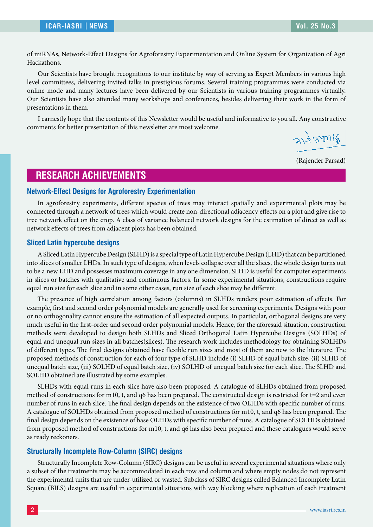of miRNAs, Network-Effect Designs for Agroforestry Experimentation and Online System for Organization of Agri Hackathons.

Our Scientists have brought recognitions to our institute by way of serving as Expert Members in various high level committees, delivering invited talks in prestigious forums. Several training programmes were conducted via online mode and many lectures have been delivered by our Scientists in various training programmes virtually. Our Scientists have also attended many workshops and conferences, besides delivering their work in the form of presentations in them.

I earnestly hope that the contents of this Newsletter would be useful and informative to you all. Any constructive comments for better presentation of this newsletter are most welcome.

 $317320018$ 

(Rajender Parsad)

## **RESEARCH ACHIEVEMENTS**

#### **Network-Effect Designs for Agroforestry Experimentation**

In agroforestry experiments, different species of trees may interact spatially and experimental plots may be connected through a network of trees which would create non-directional adjacency effects on a plot and give rise to tree network effect on the crop. A class of variance balanced network designs for the estimation of direct as well as network effects of trees from adjacent plots has been obtained.

#### **Sliced Latin hypercube designs**

A Sliced Latin Hypercube Design (SLHD) is a special type of Latin Hypercube Design (LHD) that can be partitioned into slices of smaller LHDs. In such type of designs, when levels collapse over all the slices, the whole design turns out to be a new LHD and possesses maximum coverage in any one dimension. SLHD is useful for computer experiments in slices or batches with qualitative and continuous factors. In some experimental situations, constructions require equal run size for each slice and in some other cases, run size of each slice may be different.

The presence of high correlation among factors (columns) in SLHDs renders poor estimation of effects. For example, first and second order polynomial models are generally used for screening experiments. Designs with poor or no orthogonality cannot ensure the estimation of all expected outputs. In particular, orthogonal designs are very much useful in the first-order and second order polynomial models. Hence, for the aforesaid situation, construction methods were developed to design both SLHDs and Sliced Orthogonal Latin Hypercube Designs (SOLHDs) of equal and unequal run sizes in all batches(slices). The research work includes methodology for obtaining SOLHDs of different types. The final designs obtained have flexible run sizes and most of them are new to the literature. The proposed methods of construction for each of four type of SLHD include (i) SLHD of equal batch size, (ii) SLHD of unequal batch size, (iii) SOLHD of equal batch size, (iv) SOLHD of unequal batch size for each slice. The SLHD and SOLHD obtained are illustrated by some examples.

SLHDs with equal runs in each slice have also been proposed. A catalogue of SLHDs obtained from proposed method of constructions for m10, t, and q6 has been prepared. The constructed design is restricted for t=2 and even number of runs in each slice. The final design depends on the existence of two OLHDs with specific number of runs. A catalogue of SOLHDs obtained from proposed method of constructions for m10, t, and q6 has been prepared. The final design depends on the existence of base OLHDs with specific number of runs. A catalogue of SOLHDs obtained from proposed method of constructions for m10, t, and q6 has also been prepared and these catalogues would serve as ready reckoners.

#### **Structurally Incomplete Row-Column (SIRC) designs**

Structurally Incomplete Row-Column (SIRC) designs can be useful in several experimental situations where only a subset of the treatments may be accommodated in each row and column and where empty nodes do not represent the experimental units that are under-utilized or wasted. Subclass of SIRC designs called Balanced Incomplete Latin Square (BILS) designs are useful in experimental situations with way blocking where replication of each treatment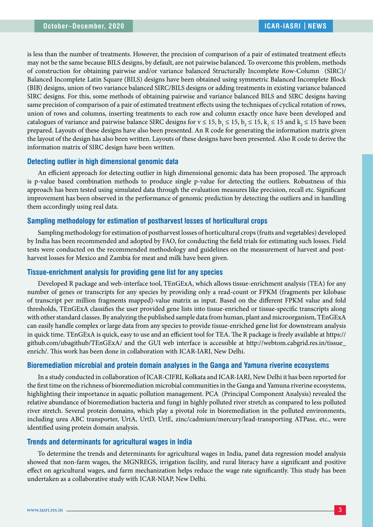is less than the number of treatments. However, the precision of comparison of a pair of estimated treatment effects may not be the same because BILS designs, by default, are not pairwise balanced. To overcome this problem, methods of construction for obtaining pairwise and/or variance balanced Structurally Incomplete Row-Column (SIRC)/ Balanced Incomplete Latin Square (BILS) designs have been obtained using symmetric Balanced Incomplete Block (BIB) designs, union of two variance balanced SIRC/BILS designs or adding treatments in existing variance balanced SIRC designs. For this, some methods of obtaining pairwise and variance balanced BILS and SIRC designs having same precision of comparison of a pair of estimated treatment effects using the techniques of cyclical rotation of rows, union of rows and columns, inserting treatments to each row and column exactly once have been developed and catalogues of variance and pairwise balance SIRC designs for  $v \le 15$ ,  $b_1 \le 15$ ,  $b_2 \le 15$ ,  $k_1 \le 15$  and  $k_2 \le 15$  have been prepared. Layouts of these designs have also been presented. An R code for generating the information matrix given the layout of the design has also been written. Layouts of these designs have been presented. Also R code to derive the information matrix of SIRC design have been written.

#### **Detecting outlier in high dimensional genomic data**

An efficient approach for detecting outlier in high dimensional genomic data has been proposed. The approach is p-value based combination methods to produce single p-value for detecting the outliers. Robustness of this approach has been tested using simulated data through the evaluation measures like precision, recall etc. Significant improvement has been observed in the performance of genomic prediction by detecting the outliers and in handling them accordingly using real data.

#### **Sampling methodology for estimation of postharvest losses of horticultural crops**

Sampling methodology for estimation of postharvest losses of horticultural crops (fruits and vegetables) developed by India has been recommended and adopted by FAO, for conducting the field trials for estimating such losses. Field tests were conducted on the recommended methodology and guidelines on the measurement of harvest and postharvest losses for Mexico and Zambia for meat and milk have been given.

#### **Tissue-enrichment analysis for providing gene list for any species**

Developed R package and web-interface tool, TEnGExA, which allows tissue-enrichment analysis (TEA) for any number of genes or transcripts for any species by providing only a read-count or FPKM (fragments per kilobase of transcript per million fragments mapped)-value matrix as input. Based on the different FPKM value and fold thresholds, TEnGExA classifies the user provided gene lists into tissue-enriched or tissue-specific transcripts along with other standard classes. By analyzing the published sample data from human, plant and microorganism, TEnGExA can easily handle complex or large data from any species to provide tissue-enriched gene list for downstream analysis in quick time. TEnGExA is quick, easy to use and an efficient tool for TEA. The R package is freely available at https:// github.com/ubagithub/TEnGExA/ and the GUI web interface is accessible at http://webtom.cabgrid.res.in/tissue\_ enrich/. This work has been done in collaboration with ICAR-IARI, New Delhi.

#### **Bioremediation microbial and protein domain analyses in the Ganga and Yamuna riverine ecosystems**

In a study conducted in collaboration of ICAR-CIFRI, Kolkata and ICAR-IARI, New Delhi it has been reported for the first time on the richness of bioremediation microbial communities in the Ganga and Yamuna riverine ecosystems, highlighting their importance in aquatic pollution management. PCA (Principal Component Analysis) revealed the relative abundance of bioremediation bacteria and fungi in highly polluted river stretch as compared to less polluted river stretch. Several protein domains, which play a pivotal role in bioremediation in the polluted environments, including urea ABC transporter, UrtA, UrtD, UrtE, zinc/cadmium/mercury/lead-transporting ATPase, etc., were identified using protein domain analysis.

#### **Trends and determinants for agricultural wages in India**

To determine the trends and determinants for agricultural wages in India, panel data regression model analysis showed that non-farm wages, the MGNREGS, irrigation facility, and rural literacy have a significant and positive effect on agricultural wages, and farm mechanization helps reduce the wage rate significantly. This study has been undertaken as a collaborative study with ICAR-NIAP, New Delhi.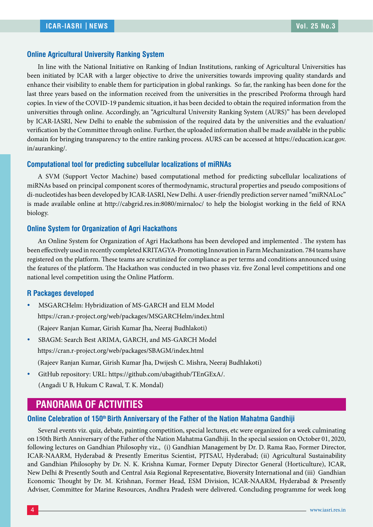#### **Online Agricultural University Ranking System**

In line with the National Initiative on Ranking of Indian Institutions, ranking of Agricultural Universities has been initiated by ICAR with a larger objective to drive the universities towards improving quality standards and enhance their visibility to enable them for participation in global rankings. So far, the ranking has been done for the last three years based on the information received from the universities in the prescribed Proforma through hard copies. In view of the COVID-19 pandemic situation, it has been decided to obtain the required information from the universities through online. Accordingly, an "Agricultural University Ranking System (AURS)" has been developed by ICAR-IASRI, New Delhi to enable the submission of the required data by the universities and the evaluation/ verification by the Committee through online. Further, the uploaded information shall be made available in the public domain for bringing transparency to the entire ranking process. AURS can be accessed at https://education.icar.gov. in/auranking/.

#### **Computational tool for predicting subcellular localizations of miRNAs**

A SVM (Support Vector Machine) based computational method for predicting subcellular localizations of miRNAs based on principal component scores of thermodynamic, structural properties and pseudo compositions of di-nucleotides has been developed by ICAR-IASRI, New Delhi. A user-friendly prediction server named "miRNALoc" is made available online at http://cabgrid.res.in:8080/mirnaloc/ to help the biologist working in the field of RNA biology.

#### **Online System for Organization of Agri Hackathons**

An Online System for Organization of Agri Hackathons has been developed and implemented . The system has been effectively used in recently completed KRITAGYA-Promoting Innovation in Farm Mechanization. 784 teams have registered on the platform. These teams are scrutinized for compliance as per terms and conditions announced using the features of the platform. The Hackathon was conducted in two phases viz. five Zonal level competitions and one national level competition using the Online Platform.

#### **R Packages developed**

- MSGARCHelm: Hybridization of MS-GARCH and ELM Model https://cran.r-project.org/web/packages/MSGARCHelm/index.html (Rajeev Ranjan Kumar, Girish Kumar Jha, Neeraj Budhlakoti)
- y SBAGM: Search Best ARIMA, GARCH, and MS-GARCH Model https://cran.r-project.org/web/packages/SBAGM/index.html (Rajeev Ranjan Kumar, Girish Kumar Jha, Dwijesh C. Mishra, Neeraj Budhlakoti)
- GitHub repository: URL: https://github.com/ubagithub/TEnGExA/. (Angadi U B, Hukum C Rawal, T. K. Mondal)

# **PANORAMA OF ACTIVITIES**

#### **Online Celebration of 150<sup>th</sup> Birth Anniversary of the Father of the Nation Mahatma Gandhiji**

Several events viz. quiz, debate, painting competition, special lectures, etc were organized for a week culminating on 150th Birth Anniversary of the Father of the Nation Mahatma Gandhiji. In the special session on October 01, 2020, following lectures on Gandhian Philosophy viz., (i) Gandhian Management by Dr. D. Rama Rao, Former Director, ICAR-NAARM, Hyderabad & Presently Emeritus Scientist, PJTSAU, Hyderabad; (ii) Agricultural Sustainability and Gandhian Philosophy by Dr. N. K. Krishna Kumar, Former Deputy Director General (Horticulture), ICAR, New Delhi & Presently South and Central Asia Regional Representative, Bioversity International and (iii) Gandhian Economic Thought by Dr. M. Krishnan, Former Head, ESM Division, ICAR-NAARM, Hyderabad & Presently Adviser, Committee for Marine Resources, Andhra Pradesh were delivered. Concluding programme for week long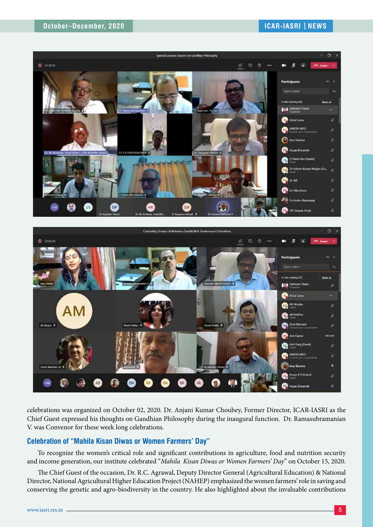



celebrations was organized on October 02, 2020. Dr. Anjani Kumar Choubey, Former Director, ICAR-IASRI as the Chief Guest expressed his thoughts on Gandhian Philosophy during the inaugural function. Dr. Ramasubramanian V. was Convenor for these week long celebrations.

#### **Celebration of "Mahila Kisan Diwas or Women Farmers' Day"**

To recognize the women's critical role and significant contributions in agriculture, food and nutrition security and income generation, our institute celebrated "*Mahila Kisan Diwas or Women Farmers' Day*" on October 15, 2020.

The Chief Guest of the occasion, Dr. R.C. Agrawal, Deputy Director General (Agricultural Education) & National Director, National Agricultural Higher Education Project (NAHEP) emphasized the women farmers' role in saving and conserving the genetic and agro-biodiversity in the country. He also highlighted about the invaluable contributions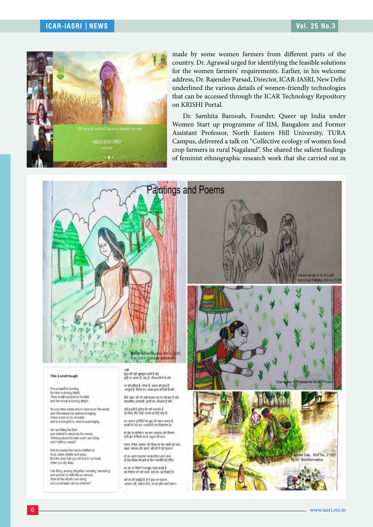

made by some women farmers from different parts of the country. Dr. Agrawal urged for identifying the feasible solutions for the women farmers' requirements. Earlier, in his welcome address, Dr. Rajender Parsad, Director, ICAR-IASRI, New Delhi underlined the various details of women-friendly technologies that can be accessed through the ICAR Technology Repository on KRISHI Portal.

Dr. Samhita Barooah, Founder, Queer up India under Women Start up programme of IIM, Bangalore and Former Assistant Professor, North Eastern Hill University, TURA Campus, delivered a talk on "Collective ecology of women food crop farmers in rural Nagaland". She shared the salient findings of feminist ethnographic research work that she carried out in

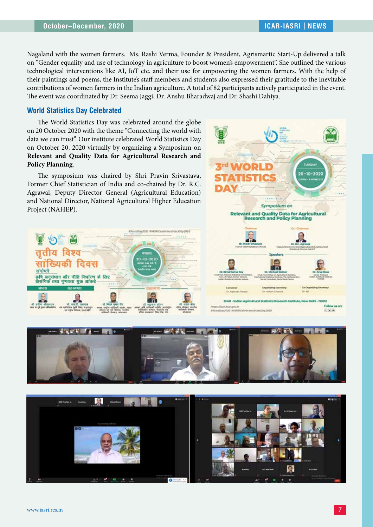Nagaland with the women farmers. Ms. Rashi Verma, Founder & President, Agrismartic Start-Up delivered a talk on "Gender equality and use of technology in agriculture to boost women's empowerment". She outlined the various technological interventions like AI, IoT etc. and their use for empowering the women farmers. With the help of their paintings and poems, the Institute's staff members and students also expressed their gratitude to the inevitable contributions of women farmers in the Indian agriculture. A total of 82 participants actively participated in the event. The event was coordinated by Dr. Seema Jaggi, Dr. Anshu Bharadwaj and Dr. Shashi Dahiya.

#### **World Statistics Day Celebrated**

The World Statistics Day was celebrated around the globe on 20 October 2020 with the theme "Connecting the world with data we can trust". Our institute celebrated World Statistics Day on October 20, 2020 virtually by organizing a Symposium on **Relevant and Quality Data for Agricultural Research and Policy Planning**.

The symposium was chaired by Shri Pravin Srivastava, Former Chief Statistician of India and co-chaired by Dr. R.C. Agrawal, Deputy Director General (Agricultural Education) and National Director, National Agricultural Higher Education Project (NAHEP).







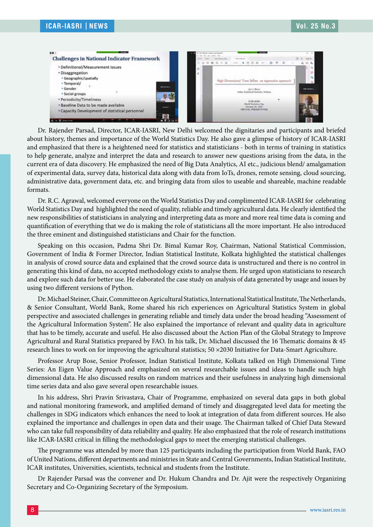

Dr. Rajender Parsad, Director, ICAR-IASRI, New Delhi welcomed the dignitaries and participants and briefed about history, themes and importance of the World Statistics Day. He also gave a glimpse of history of ICAR-IASRI and emphasized that there is a heightened need for statistics and statisticians - both in terms of training in statistics to help generate, analyze and interpret the data and research to answer new questions arising from the data, in the current era of data discovery. He emphasized the need of Big Data Analytics, AI etc., judicious blend/ amalgamation of experimental data, survey data, historical data along with data from IoTs, drones, remote sensing, cloud sourcing, administrative data, government data, etc. and bringing data from silos to useable and shareable, machine readable formats.

Dr. R.C. Agrawal, welcomed everyone on the World Statistics Day and complimented ICAR-IASRI for celebrating World Statistics Day and highlighted the need of quality, reliable and timely agricultural data. He clearly identified the new responsibilities of statisticians in analyzing and interpreting data as more and more real time data is coming and quantification of everything that we do is making the role of statisticians all the more important. He also introduced the three eminent and distinguished statisticians and Chair for the function.

Speaking on this occasion, Padma Shri Dr. Bimal Kumar Roy, Chairman, National Statistical Commission, Government of India & Former Director, Indian Statistical Institute, Kolkata highlighted the statistical challenges in analysis of crowd source data and explained that the crowd source data is unstructured and there is no control in generating this kind of data, no accepted methodology exists to analyse them. He urged upon statisticians to research and explore such data for better use. He elaborated the case study on analysis of data generated by usage and issues by using two different versions of Python.

Dr. Michael Steiner, Chair, Committee on Agricultural Statistics, International Statistical Institute, The Netherlands, & Senior Consultant, World Bank, Rome shared his rich experiences on Agricultural Statistics System in global perspective and associated challenges in generating reliable and timely data under the broad heading "Assessment of the Agricultural Information System". He also explained the importance of relevant and quality data in agriculture that has to be timely, accurate and useful. He also discussed about the Action Plan of the Global Strategy to Improve Agricultural and Rural Statistics prepared by FAO. In his talk, Dr. Michael discussed the 16 Thematic domains & 45 research lines to work on for improving the agricultural statistics; 50 ×2030 Initiative for Data-Smart Agriculture.

Professor Arup Bose, Senior Professor, Indian Statistical Institute, Kolkata talked on High Dimensional Time Series: An Eigen Value Approach and emphasized on several researchable issues and ideas to handle such high dimensional data. He also discussed results on random matrices and their usefulness in analyzing high dimensional time series data and also gave several open researchable issues.

In his address, Shri Pravin Srivastava, Chair of Programme, emphasized on several data gaps in both global and national monitoring framework, and amplified demand of timely and disaggregated level data for meeting the challenges in SDG indicators which enhances the need to look at integration of data from different sources. He also explained the importance and challenges in open data and their usage. The Chairman talked of Chief Data Steward who can take full responsibility of data reliability and quality. He also emphasized that the role of research institutions like ICAR-IASRI critical in filling the methodological gaps to meet the emerging statistical challenges.

The programme was attended by more than 125 participants including the participation from World Bank, FAO of United Nations, different departments and ministries in State and Central Governments, Indian Statistical Institute, ICAR institutes, Universities, scientists, technical and students from the Institute.

Dr Rajender Parsad was the convener and Dr. Hukum Chandra and Dr. Ajit were the respectively Organizing Secretary and Co-Organizing Secretary of the Symposium.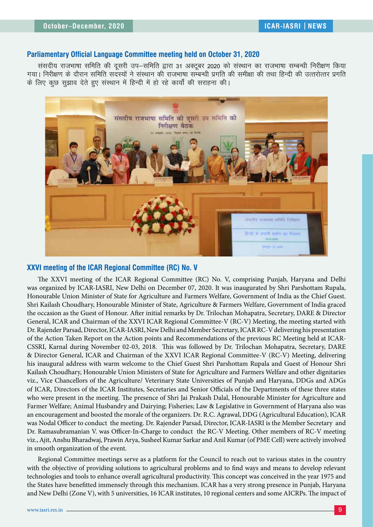#### **Parliamentary Official Language Committee meeting held on October 31, 2020**

संसदीय राजभाषा समिति की दूसरी उप–समिति द्वारा 31 अक्टूबर 2020 को संस्थान का राजभाषा सम्बन्धी निरीक्षण किया .<br>| गया। निरीक्षण के दौरान समिति सदस्यों ने संस्थान की राजभाषा सम्बन्धी प्रगति की समीक्षा की तथा हिन्दी की उत्तरोत्तर प्रगति के लिए कूछ सुझाव देते हुए संस्थान में हिन्दी में हो रहे कार्यों की सराहना की।



#### **XXVI meeting of the ICAR Regional Committee (RC) No. V**

The XXVI meeting of the ICAR Regional Committee (RC) No. V, comprising Punjab, Haryana and Delhi was organized by ICAR-IASRI, New Delhi on December 07, 2020. It was inaugurated by Shri Parshottam Rupala, Honourable Union Minister of State for Agriculture and Farmers Welfare, Government of India as the Chief Guest. Shri Kailash Choudhary, Honourable Minister of State, Agriculture & Farmers Welfare, Government of India graced the occasion as the Guest of Honour. After initial remarks by Dr. Trilochan Mohapatra, Secretary, DARE & Director General, ICAR and Chairman of the XXVI ICAR Regional Committee-V (RC-V) Meeting, the meeting started with Dr. Rajender Parsad, Director, ICAR-IASRI, New Delhi and Member Secretary, ICAR RC-V delivering his presentation of the Action Taken Report on the Action points and Recommendations of the previous RC Meeting held at ICAR-CSSRI, Karnal during November 02-03, 2018. This was followed by Dr. Trilochan Mohapatra, Secretary, DARE & Director General, ICAR and Chairman of the XXVI ICAR Regional Committee-V (RC-V) Meeting, delivering his inaugural address with warm welcome to the Chief Guest Shri Parshottam Rupala and Guest of Honour Shri Kailash Choudhary, Honourable Union Ministers of State for Agriculture and Farmers Welfare and other dignitaries viz., Vice Chancellors of the Agriculture/ Veterinary State Universities of Punjab and Haryana, DDGs and ADGs of ICAR, Directors of the ICAR Institutes, Secretaries and Senior Officials of the Departments of these three states who were present in the meeting. The presence of Shri Jai Prakash Dalal, Honourable Minister for Agriculture and Farmer Welfare; Animal Husbandry and Dairying; Fisheries; Law & Legislative in Government of Haryana also was an encouragement and boosted the morale of the organizers. Dr. R.C. Agrawal, DDG (Agricultural Education), ICAR was Nodal Officer to conduct the meeting. Dr. Rajender Parsad, Director, ICAR-IASRI is the Member Secretary and Dr. Ramasubramanian V. was Officer-In-Charge to conduct the RC-V Meeting. Other members of RC-V meeting viz., Ajit, Anshu Bharadwaj, Prawin Arya, Susheel Kumar Sarkar and Anil Kumar (of PME Cell) were actively involved in smooth organization of the event.

Regional Committee meetings serve as a platform for the Council to reach out to various states in the country with the objective of providing solutions to agricultural problems and to find ways and means to develop relevant technologies and tools to enhance overall agricultural productivity. This concept was conceived in the year 1975 and the States have benefitted immensely through this mechanism. ICAR has a very strong presence in Punjab, Haryana and New Delhi (Zone V), with 5 universities, 16 ICAR institutes, 10 regional centers and some AICRPs. The impact of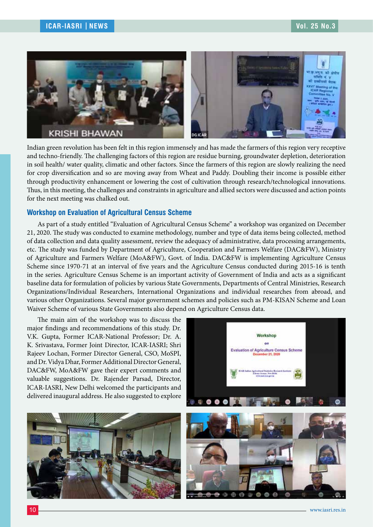

Indian green revolution has been felt in this region immensely and has made the farmers of this region very receptive and techno-friendly. The challenging factors of this region are residue burning, groundwater depletion, deterioration in soil health/ water quality, climatic and other factors. Since the farmers of this region are slowly realizing the need for crop diversification and so are moving away from Wheat and Paddy. Doubling their income is possible either through productivity enhancement or lowering the cost of cultivation through research/technological innovations. Thus, in this meeting, the challenges and constraints in agriculture and allied sectors were discussed and action points for the next meeting was chalked out.

#### **Workshop on Evaluation of Agricultural Census Scheme**

As part of a study entitled "Evaluation of Agricultural Census Scheme" a workshop was organized on December 21, 2020. The study was conducted to examine methodology, number and type of data items being collected, method of data collection and data quality assessment, review the adequacy of administrative, data processing arrangements, etc. The study was funded by Department of Agriculture, Cooperation and Farmers Welfare (DAC&FW), Ministry of Agriculture and Farmers Welfare (MoA&FW), Govt. of India. DAC&FW is implementing Agriculture Census Scheme since 1970-71 at an interval of five years and the Agriculture Census conducted during 2015-16 is tenth in the series. Agriculture Census Scheme is an important activity of Government of India and acts as a significant baseline data for formulation of policies by various State Governments, Departments of Central Ministries, Research Organizations/Individual Researchers, International Organizations and individual researches from abroad, and various other Organizations. Several major government schemes and policies such as PM-KISAN Scheme and Loan Waiver Scheme of various State Governments also depend on Agriculture Census data.

The main aim of the workshop was to discuss the major findings and recommendations of this study. Dr. V.K. Gupta, Former ICAR-National Professor; Dr. A. K. Srivastava, Former Joint Director, ICAR-IASRI; Shri Rajeev Lochan, Former Director General, CSO, MoSPI, and Dr. Vidya Dhar, Former Additional Director General, DAC&FW, MoA&FW gave their expert comments and valuable suggestions. Dr. Rajender Parsad, Director, ICAR-IASRI, New Delhi welcomed the participants and delivered inaugural address. He also suggested to explore



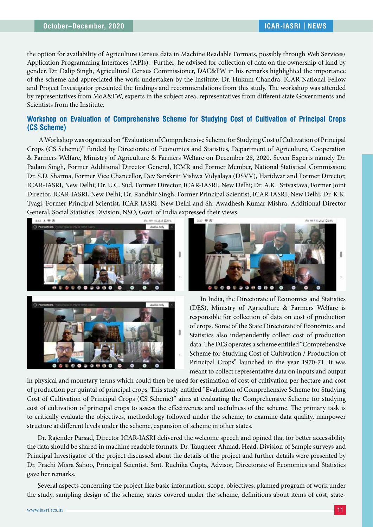the option for availability of Agriculture Census data in Machine Readable Formats, possibly through Web Services/ Application Programming Interfaces (APIs). Further, he advised for collection of data on the ownership of land by gender. Dr. Dalip Singh, Agricultural Census Commissioner, DAC&FW in his remarks highlighted the importance of the scheme and appreciated the work undertaken by the Institute. Dr. Hukum Chandra, ICAR-National Fellow and Project Investigator presented the findings and recommendations from this study. The workshop was attended by representatives from MoA&FW, experts in the subject area, representatives from different state Governments and Scientists from the Institute.

## **Workshop on Evaluation of Comprehensive Scheme for Studying Cost of Cultivation of Principal Crops (CS Scheme)**

 A Workshop was organized on "Evaluation of Comprehensive Scheme for Studying Cost of Cultivation of Principal Crops (CS Scheme)" funded by Directorate of Economics and Statistics, Department of Agriculture, Cooperation & Farmers Welfare, Ministry of Agriculture & Farmers Welfare on December 28, 2020. Seven Experts namely Dr. Padam Singh, Former Additional Director General, ICMR and Former Member, National Statistical Commission; Dr. S.D. Sharma, Former Vice Chancellor, Dev Sanskriti Vishwa Vidyalaya (DSVV), Haridwar and Former Director, ICAR-IASRI, New Delhi; Dr. U.C. Sud, Former Director, ICAR-IASRI, New Delhi; Dr. A.K. Srivastava, Former Joint Director, ICAR-IASRI, New Delhi; Dr. Randhir Singh, Former Principal Scientist, ICAR-IASRI, New Delhi; Dr. K.K. Tyagi, Former Principal Scientist, ICAR-IASRI, New Delhi and Sh. Awadhesh Kumar Mishra, Additional Director General, Social Statistics Division, NSO, Govt. of India expressed their views.





In India, the Directorate of Economics and Statistics (DES), Ministry of Agriculture & Farmers Welfare is responsible for collection of data on cost of production of crops. Some of the State Directorate of Economics and Statistics also independently collect cost of production data. The DES operates a scheme entitled "Comprehensive Scheme for Studying Cost of Cultivation / Production of Principal Crops" launched in the year 1970-71. It was meant to collect representative data on inputs and output

in physical and monetary terms which could then be used for estimation of cost of cultivation per hectare and cost of production per quintal of principal crops. This study entitled "Evaluation of Comprehensive Scheme for Studying Cost of Cultivation of Principal Crops (CS Scheme)" aims at evaluating the Comprehensive Scheme for studying cost of cultivation of principal crops to assess the effectiveness and usefulness of the scheme. The primary task is to critically evaluate the objectives, methodology followed under the scheme, to examine data quality, manpower structure at different levels under the scheme, expansion of scheme in other states.

Dr. Rajender Parsad, Director ICAR-IASRI delivered the welcome speech and opined that for better accessibility the data should be shared in machine readable formats. Dr. Tauqueer Ahmad, Head, Division of Sample surveys and Principal Investigator of the project discussed about the details of the project and further details were presented by Dr. Prachi Misra Sahoo, Principal Scientist. Smt. Ruchika Gupta, Advisor, Directorate of Economics and Statistics gave her remarks.

Several aspects concerning the project like basic information, scope, objectives, planned program of work under the study, sampling design of the scheme, states covered under the scheme, definitions about items of cost, state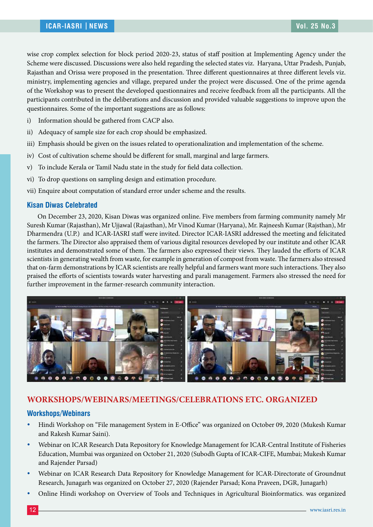wise crop complex selection for block period 2020-23, status of staff position at Implementing Agency under the Scheme were discussed. Discussions were also held regarding the selected states viz. Haryana, Uttar Pradesh, Punjab, Rajasthan and Orissa were proposed in the presentation. Three different questionnaires at three different levels viz. ministry, implementing agencies and village, prepared under the project were discussed. One of the prime agenda of the Workshop was to present the developed questionnaires and receive feedback from all the participants. All the participants contributed in the deliberations and discussion and provided valuable suggestions to improve upon the questionnaires. Some of the important suggestions are as follows:

- i) Information should be gathered from CACP also.
- ii) Adequacy of sample size for each crop should be emphasized.
- iii) Emphasis should be given on the issues related to operationalization and implementation of the scheme.
- iv) Cost of cultivation scheme should be different for small, marginal and large farmers.
- v) To include Kerala or Tamil Nadu state in the study for field data collection.
- vi) To drop questions on sampling design and estimation procedure.
- vii) Enquire about computation of standard error under scheme and the results.

#### **Kisan Diwas Celebrated**

On December 23, 2020, Kisan Diwas was organized online. Five members from farming community namely Mr Suresh Kumar (Rajasthan), Mr Ujjawal (Rajasthan), Mr Vinod Kumar (Haryana), Mr. Rajneesh Kumar (Rajsthan), Mr Dharmendra (U.P.) and ICAR-IASRI staff were invited. Director ICAR-IASRI addressed the meeting and felicitated the farmers. The Director also appraised them of various digital resources developed by our institute and other ICAR institutes and demonstrated some of them. The farmers also expressed their views. They lauded the efforts of ICAR scientists in generating wealth from waste, for example in generation of compost from waste. The farmers also stressed that on-farm demonstrations by ICAR scientists are really helpful and farmers want more such interactions. They also praised the efforts of scientists towards water harvesting and parali management. Farmers also stressed the need for further improvement in the farmer-research community interaction.



## **WORKSHOPS/WEBINARS/MEETINGS/CELEBRATIONS ETC. ORGANIZED**

#### **Workshops/Webinars**

- Hindi Workshop on "File management System in E-Office" was organized on October 09, 2020 (Mukesh Kumar and Rakesh Kumar Saini).
- y Webinar on ICAR Research Data Repository for Knowledge Management for ICAR-Central Institute of Fisheries Education, Mumbai was organized on October 21, 2020 (Subodh Gupta of ICAR-CIFE, Mumbai; Mukesh Kumar and Rajender Parsad)
- Webinar on ICAR Research Data Repository for Knowledge Management for ICAR-Directorate of Groundnut Research, Junagarh was organized on October 27, 2020 (Rajender Parsad; Kona Praveen, DGR, Junagarh)
- Online Hindi workshop on Overview of Tools and Techniques in Agricultural Bioinformatics. was organized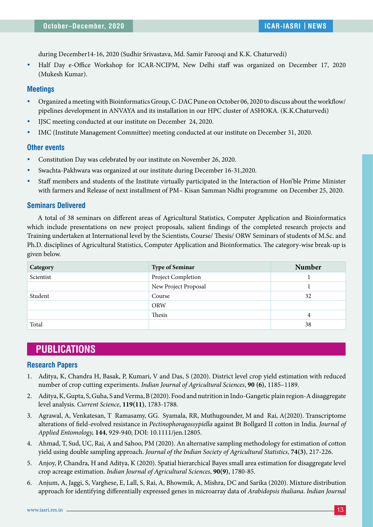during December14-16, 2020 (Sudhir Srivastava, Md. Samir Farooqi and K.K. Chaturvedi)

Half Day e-Office Workshop for ICAR-NCIPM, New Delhi staff was organized on December 17, 2020 (Mukesh Kumar).

#### **Meetings**

- y Organized a meeting with Bioinformatics Group, C-DAC Pune on October 06, 2020 to discuss about the workflow/ pipelines development in ANVAYA and its installation in our HPC cluster of ASHOKA. (K.K.Chaturvedi)
- y IJSC meeting conducted at our institute on December 24, 2020.
- IMC (Institute Management Committee) meeting conducted at our institute on December 31, 2020.

#### **Other events**

- Constitution Day was celebrated by our institute on November 26, 2020.
- Swachta-Pakhwara was organized at our institute during December 16-31,2020.
- Staff members and students of the Institute virtually participated in the Interaction of Hon'ble Prime Minister with farmers and Release of next installment of PM– Kisan Samman Nidhi programme on December 25, 2020.

#### **Seminars Delivered**

A total of 38 seminars on different areas of Agricultural Statistics, Computer Application and Bioinformatics which include presentations on new project proposals, salient findings of the completed research projects and Training undertaken at International level by the Scientists, Course/ Thesis/ ORW Seminars of students of M.Sc. and Ph.D. disciplines of Agricultural Statistics, Computer Application and Bioinformatics. The category-wise break-up is given below.

| Category  | <b>Type of Seminar</b> | <b>Number</b> |
|-----------|------------------------|---------------|
| Scientist | Project Completion     |               |
|           | New Project Proposal   |               |
| Student   | Course                 | 32            |
|           | <b>ORW</b>             |               |
|           | Thesis                 | 4             |
| Total     |                        | 38            |

## **PUBLICATIONS**

#### **Research Papers**

- 1. Aditya, K, Chandra H, Basak, P, Kumari, V and Das, S (2020). District level crop yield estimation with reduced number of crop cutting experiments. *Indian Journal of Agricultural Sciences*, **90 (6)**, 1185–1189.
- 2. Aditya, K, Gupta, S, Guha, S and Verma, B (2020). Food and nutrition in Indo-Gangetic plain region-A disaggregate level analysis. *Current Science*, **119(11)**, 1783-1788.
- 3. Agrawal, A, Venkatesan, T Ramasamy, GG. Syamala, RR, Muthugounder, M and Rai, A(2020). Transcriptome alterations of field-evolved resistance in *Pectinophoragossypiella* against Bt Bollgard II cotton in India. *Journal of Applied Entomology,* **144**, 929-940; DOI: 10.1111/jen.12805.
- 4. Ahmad, T, Sud, UC, Rai, A and Sahoo, PM (2020). An alternative sampling methodology for estimation of cotton yield using double sampling approach. *Journal of the Indian Society of Agricultural Statistics*, **74(3)**, 217-226.
- 5. Anjoy, P, Chandra, H and Aditya, K (2020). Spatial hierarchical Bayes small area estimation for disaggregate level crop acreage estimation. *Indian Journal of Agricultural Sciences*, **90(9)**, 1780-85.
- 6. Anjum, A, Jaggi, S, Varghese, E, Lall, S, Rai, A, Bhowmik, A, Mishra, DC and Sarika (2020). Mixture distribution approach for identifying differentially expressed genes in microarray data of *Arabidopsis thaliana*. *Indian Journal*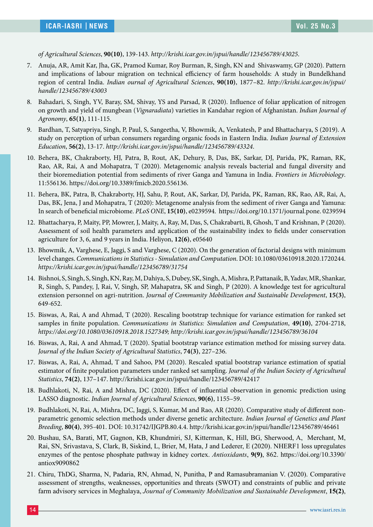*of Agricultural Sciences*, **90(10)**, 139-143. *http://krishi.icar.gov.in/jspui/handle/123456789/43025*.

- 7. Anuja, AR, Amit Kar, Jha, GK, Pramod Kumar, Roy Burman, R, Singh, KN and Shivaswamy, GP (2020). Pattern and implications of labour migration on technical efficiency of farm households: A study in Bundelkhand region of central India. *Indian ournal of Agricultural Sciences*, **90(10)**, 1877–82. *http://krishi.icar.gov.in/jspui/ handle/123456789/43003*
- 8. Bahadari, S, Singh, YV, Baray, SM, Shivay, YS and Parsad, R (2020). Influence of foliar application of nitrogen on growth and yield of mungbean (*Vignaradiata*) varieties in Kandahar region of Afghanistan. *Indian Journal of Agronomy*, **65(1)**, 111-115.
- 9. Bardhan, T, Satyapriya, Singh, P, Paul, S, Sangeetha, V, Bhowmik, A, Venkatesh, P and Bhattacharya, S (2019). A study on perception of urban consumers regarding organic foods in Eastern India. *Indian Journal of Extension Education*, **56(2)**, 13-17. *http://krishi.icar.gov.in/jspui/handle/123456789/43324*.
- 10. Behera, BK, Chakraborty, HJ, Patra, B, Rout, AK, Dehury, B, Das, BK, Sarkar, DJ, Parida, PK, Raman, RK, Rao, AR, Rai, A and Mohapatra, T (2020). Metagenomic analysis reveals bacterial and fungal diversity and their bioremediation potential from sediments of river Ganga and Yamuna in India. *Frontiers in Microbiology*. 11:556136. https://doi.org/10.3389/fmicb.2020.556136.
- 11. Behera, BK, Patra, B, Chakraborty, HJ, Sahu, P, Rout, AK, Sarkar, DJ, Parida, PK, Raman, RK, Rao, AR, Rai, A, Das, BK, Jena, J and Mohapatra, T (2020): Metagenome analysis from the sediment of river Ganga and Yamuna: In search of beneficial microbiome. *PLoS ONE*, **15(10)**, e0239594. https://doi.org/10.1371/journal.pone. 0239594
- 12. Bhattacharya, P, Maity, PP, Mowrer, J, Maity, A, Ray, M, Das, S, Chakrabarti, B, Ghosh, T and Krishnan, P (2020). Assessment of soil health parameters and application of the sustainability index to fields under conservation agriculture for 3, 6, and 9 years in India. Heliyon, **12(6)**, e05640
- 13. Bhowmik, A, Varghese, E, Jaggi, S and Varghese, C (2020). On the generation of factorial designs with minimum level changes. *Communications in Statistics - Simulation and Computation*. DOI: 10.1080/03610918.2020.1720244. *https://krishi.icar.gov.in/jspui/handle/123456789/31754*
- 14. Bishnoi, S, Singh, S, Singh, KN, Ray, M, Dahiya, S, Dubey, SK, Singh, A, Mishra, P, Pattanaik, B, Yadav, MR, Shankar, R, Singh, S, Pandey, J, Rai, V, Singh, SP, Mahapatra, SK and Singh, P (2020). A knowledge test for agricultural extension personnel on agri-nutrition. *Journal of Community Mobilization and Sustainable Development*, **15(3)**, 649-652.
- 15. Biswas, A, Rai, A and Ahmad, T (2020). Rescaling bootstrap technique for variance estimation for ranked set samples in finite population. *Communications in Statistics: Simulation and Computation*, **49(10)**, 2704-2718, *https://doi.org/10.1080/03610918.2018.1527349; http://krishi.icar.gov.in/jspui/handle/123456789/36104*
- 16. Biswas, A, Rai, A and Ahmad, T (2020). Spatial bootstrap variance estimation method for missing survey data. *Journal of the Indian Society of Agricultural Statistics*, **74(3)**, 227–236.
- 17. Biswas, A, Rai, A, Ahmad, T and Sahoo, PM (2020). Rescaled spatial bootstrap variance estimation of spatial estimator of finite population parameters under ranked set sampling. *Journal of the Indian Society of Agricultural Statistics*, **74(2)**, 137–147. http://krishi.icar.gov.in/jspui/handle/123456789/42417
- 18. Budhlakoti, N, Rai, A and Mishra, DC (2020). Effect of influential observation in genomic prediction using LASSO diagnostic. *Indian Journal of Agricultural Sciences*, **90(6)**, 1155–59.
- 19. Budhlakoti, N, Rai, A, Mishra, DC, Jaggi, S, Kumar, M and Rao, AR (2020). Comparative study of different nonparametric genomic selection methods under diverse genetic architecture. *Indian Journal of Genetics and Plant Breeding*, **80(4)**, 395-401. DOI: 10.31742/IJGPB.80.4.4. http://krishi.icar.gov.in/jspui/handle/123456789/46461
- 20. Bushau, SA, Barati, MT, Gagnon, KB, Khundmiri, SJ, Kitterman, K, Hill, BG, Sherwood, A, Merchant, M, Rai, SN, Srivastava, S, Clark, B, Siskind, L, Brier, M, Hata, J and Lederer, E (2020). NHERF1 loss upregulates enzymes of the pentose phosphate pathway in kidney cortex. *Antioxidants*, **9(9)**, 862. https://doi.org/10.3390/ antiox9090862
- 21. Chiru, ThDG, Sharma, N, Padaria, RN, Ahmad, N, Punitha, P and Ramasubramanian V. (2020). Comparative assessment of strengths, weaknesses, opportunities and threats (SWOT) and constraints of public and private farm advisory services in Meghalaya, *Journal of Community Mobilization and Sustainable Development*, **15(2)**,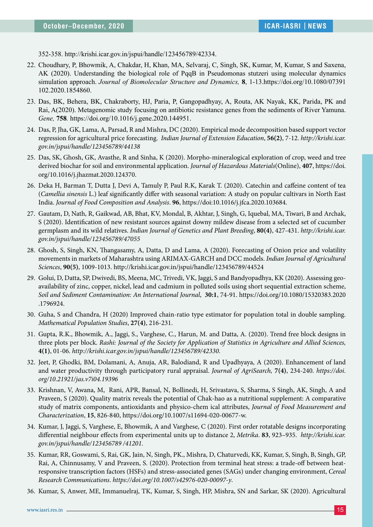352-358. http://krishi.icar.gov.in/jspui/handle/123456789/42334.

- 22. Choudhary, P, Bhowmik, A, Chakdar, H, Khan, MA, Selvaraj, C, Singh, SK, Kumar, M, Kumar, S and Saxena, AK (2020). Understanding the biological role of PqqB in Pseudomonas stutzeri using molecular dynamics simulation approach. *Journal of Biomolecular Structure and Dynamics,* **8**, 1-13.https://doi.org/10.1080/07391 102.2020.1854860.
- 23. Das, BK, Behera, BK, Chakraborty, HJ, Paria, P, Gangopadhyay, A, Routa, AK Nayak, KK, Parida, PK and Rai, A(2020). Metagenomic study focusing on antibiotic resistance genes from the sediments of River Yamuna. *Gene,* **758***.* https://doi.org/10.1016/j.gene.2020.144951.
- 24. Das, P, Jha, GK, Lama, A, Parsad, R and Mishra, DC (2020). Empirical mode decomposition based support vector regression for agricultural price forecasting. *Indian Journal of Extension Education*, **56(2)**, 7-12. *http://krishi.icar. gov.in/jspui/handle/123456789/44138*
- 25. Das, SK, Ghosh, GK, Avasthe, R and Sinha, K (2020). Morpho-mineralogical exploration of crop, weed and tree derived biochar for soil and environmental application. *Journal of Hazardous Materials*(Online), **407**, https://doi. org/10.1016/j.jhazmat.2020.124370.
- 26. Deka H, Barman T, Dutta J, Devi A, Tamuly P, Paul R.K, Karak T. (2020). Catechin and caffeine content of tea (*Camellia sinensis* L.) leaf significantly differ with seasonal variation: A study on popular cultivars in North East India. *Journal of Food Composition and Analysis*. **96**, https://doi:10.1016/j.jfca.2020.103684.
- 27. Gautam, D, Nath, R, Gaikwad, AB, Bhat, KV, Mondal, B, Akhtar, J, Singh, G, Iquebal, MA, Tiwari, B and Archak, S (2020). Identification of new resistant sources against downy mildew disease from a selected set of cucumber germplasm and its wild relatives. *Indian Journal of Genetics and Plant Breeding*, **80(4)**, 427-431. *http://krishi.icar. gov.in/jspui/handle/123456789/47055*
- 28. Ghosh, S, Singh, KN, Thangasamy, A, Datta, D and Lama, A (2020). Forecasting of Onion price and volatility movements in markets of Maharashtra using ARIMAX-GARCH and DCC models. *Indian Journal of Agricultural Sciences*, **90(5)**, 1009-1013. http://krishi.icar.gov.in/jspui/handle/123456789/44524
- 29. Golui, D, Datta, SP, Dwivedi, BS, Meena, MC, Trivedi, VK, Jaggi, S and Bandyopadhya, KK (2020). Assessing geoavailability of zinc, copper, nickel, lead and cadmium in polluted soils using short sequential extraction scheme, *Soil and Sediment Contamination: An International Journal*, **30:1**, 74-91. https://doi.org/10.1080/15320383.2020 .1796924.
- 30. Guha, S and Chandra, H (2020) Improved chain-ratio type estimator for population total in double sampling. *Mathematical Population Studies*, **27(4)**, 216-231.
- 31. Gupta, R.K., Bhowmik, A., Jaggi, S., Varghese, C., Harun, M. and Datta, A. (2020). Trend free block designs in three plots per block. *Rashi: Journal of the Society for Application of Statistics in Agriculture and Allied Sciences,*  **4(1)**, 01-06. *http://krishi.icar.gov.in/jspui/handle/123456789/42330*.
- 32. Jeet, P, Ghodki, BM, Dolamani, A, Anuja, AR, Balodiand, R and Upadhyaya, A (2020). Enhancement of land and water productivity through participatory rural appraisal. *Journal of AgriSearch,* **7(4)**, 234-240. *https://doi. org/10.21921/jas.v7i04.19396*
- 33. Krishnan, V, Awana, M, Rani, APR, Bansal, N, Bollinedi, H, Srivastava, S, Sharma, S Singh, AK, Singh, A and Praveen, S (2020). Quality matrix reveals the potential of Chak-hao as a nutritional supplement: A comparative study of matrix components, antioxidants and physico-chem ical attributes, *Journal of Food Measurement and Characterization*, **15**, 826-840, https://doi.org/10.1007/s11694-020-00677-w.
- 34. Kumar, J, Jaggi, S, Varghese, E, Bhowmik, A and Varghese, C (2020). First order rotatable designs incorporating differential neighbour effects from experimental units up to distance 2, *Metrika*. **83**, 923–935. *http://krishi.icar. gov.in/jspui/handle/123456789 /41201*.
- 35. Kumar, RR, Goswami, S, Rai, GK, Jain, N, Singh, PK., Mishra, D, Chaturvedi, KK, Kumar, S, Singh, B, Singh, GP, Rai, A, Chinnusamy, V and Praveen, S. (2020). Protection from terminal heat stress: a trade-off between heatresponsive transcription factors (HSFs) and stress-associated genes (SAGs) under changing environment, *Cereal Research Communications*. *https://doi.org/10.1007/s42976-020-00097-y*.
- 36. Kumar, S, Anwer, ME, Immanuelraj, TK, Kumar, S, Singh, HP, Mishra, SN and Sarkar, SK (2020). Agricultural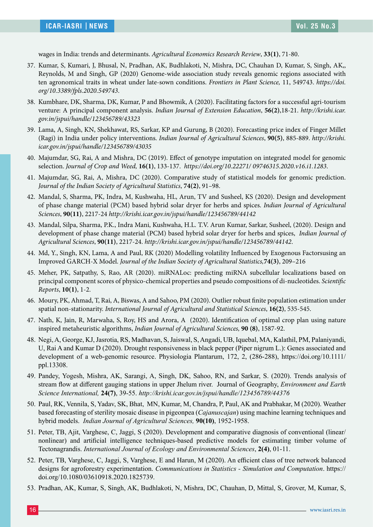wages in India: trends and determinants. *Agricultural Economics Research Review*, **33(1)**, 71-80.

- 37. Kumar, S, Kumari, J, Bhusal, N, Pradhan, AK, Budhlakoti, N, Mishra, DC, Chauhan D, Kumar, S, Singh, AK,, Reynolds, M and Singh, GP (2020) Genome-wide association study reveals genomic regions associated with ten agronomical traits in wheat under late-sown conditions. *Frontiers in Plant Science,* 11, 549743. *https://doi. org/10.3389/fpls.2020.549743*.
- 38. Kumbhare, DK, Sharma, DK, Kumar, P and Bhowmik, A (2020). Facilitating factors for a successful agri-tourism venture: A principal component analysis. *Indian Journal of Extension Education*, **56(2)**,18-21. *http://krishi.icar. gov.in/jspui/handle/123456789/43323*
- 39. Lama, A, Singh, KN, Shekhawat, RS, Sarkar, KP and Gurung, B (2020). Forecasting price index of Finger Millet (Ragi) in India under policy interventions. *Indian Journal of Agricultural Sciences*, **90(5)**, 885-889. *http://krishi. icar.gov.in/jspui/handle/123456789/43035*
- 40. Majumdar, SG, Rai, A and Mishra, DC (2019). Effect of genotype imputation on integrated model for genomic selection. *Journal of Crop and Weed,* **16(1)**, 133-137. *https://doi.org/10.22271/ 09746315.2020.v16.i1.1283*.
- 41. Majumdar, SG, Rai, A, Mishra, DC (2020). Comparative study of statistical models for genomic prediction. *Journal of the Indian Society of Agricultural Statistics*, **74(2)**, 91–98.
- 42. Mandal, S, Sharma, PK, Indra, M, Kushwaha, HL, Arun, TV and Susheel, KS (2020). Design and development of phase change material (PCM) based hybrid solar dryer for herbs and spices. *Indian Journal of Agricultural Sciences*, **90(11)**, 2217-24 *http://krishi.icar.gov.in/jspui/handle/123456789/44142*
- 43. Mandal, Silpa, Sharma, P.K., Indra Mani, Kushwaha, H.L. T.V. Arun Kumar, Sarkar, Susheel, (2020). Design and development of phase change material (PCM) based hybrid solar dryer for herbs and spices, *Indian Journal of Agricultural Sciences*, **90(11)**, 2217-24. *http://krishi.icar.gov.in/jspui/handle/123456789/44142*.
- 44. Md, Y., Singh, KN, Lama, A and Paul, RK (2020) Modelling volatility Influenced by Exogenous Factorsusing an Improved GARCH-X Model. *Journal of the Indian Society of Agricultural Statistics,***74(3)**, 209–216
- 45. Meher, PK, Satpathy, S, Rao, AR (2020). miRNALoc: predicting miRNA subcellular localizations based on principal component scores of physico-chemical properties and pseudo compositions of di-nucleotides. *Scientific Reports*, **10(1)**, 1-2.
- 46. Moury, PK, Ahmad, T, Rai, A, Biswas, A and Sahoo, PM (2020). Outlier robust finite population estimation under spatial non-stationarity. *International Journal of Agricultural and Statistical Sciences*, **16(2)**, 535-545.
- 47. Nath, K, Jain, R, Marwaha, S, Roy, HS and Arora, A (2020). Identification of optimal crop plan using nature inspired metaheuristic algorithms, *Indian Journal of Agricultural Sciences,* **90 (8)**, 1587-92.
- 48. Negi, A, George, KJ, Jasrotia, RS, Madhavan, S, Jaiswal, S, Angadi, UB, Iquebal, MA, Kalathil, PM, Palaniyandi, U, Rai A and Kumar D (2020). Drought responsiveness in black pepper (Piper nigrum L.): Genes associated and development of a web-genomic resource. Physiologia Plantarum, 172, 2, (286-288), https://doi.org/10.1111/ ppl.13308.
- 49. Pandey, Yogesh, Mishra, AK, Sarangi, A, Singh, DK, Sahoo, RN, and Sarkar, S. (2020). Trends analysis of stream flow at different gauging stations in upper Jhelum river. Journal of Geography, *Environment and Earth Science International,* **24(7)**, 39-55. *http://krishi.icar.gov.in/jspui/handle/123456789/44376*
- 50. Paul, RK, Vennila, S, Yadav, SK, Bhat, MN, Kumar, M, Chandra, P, Paul, AK and Prabhakar, M (2020). Weather based forecasting of sterility mosaic disease in pigeonpea (*Cajanuscajan*) using machine learning techniques and hybrid models. *Indian Journal of Agricultural Sciences,* **90(10)**, 1952-1958.
- 51. Peter, TB, Ajit, Varghese, C, Jaggi, S (2020). Development and comparative diagnosis of conventional (linear/ nonlinear) and artificial intelligence techniques-based predictive models for estimating timber volume of Tectonagrandis. *International Journal of Ecology and Environmental Sciences*, **2(4)**, 01-11.
- 52. Peter, TB, Varghese, C, Jaggi, S, Varghese, E and Harun, M (2020). An efficient class of tree network balanced designs for agroforestry experimentation. *Communications in Statistics - Simulation and Computation*. https:// doi.org/10.1080/03610918.2020.1825739.
- 53. Pradhan, AK, Kumar, S, Singh, AK, Budhlakoti, N, Mishra, DC, Chauhan, D, Mittal, S, Grover, M, Kumar, S,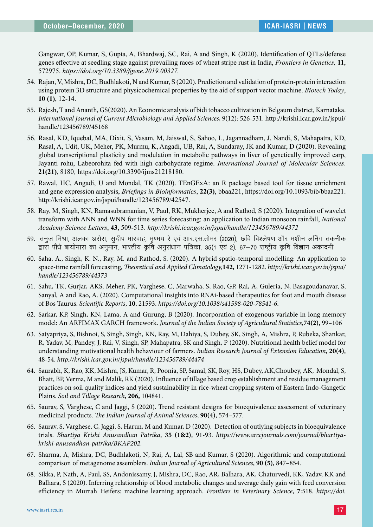Gangwar, OP, Kumar, S, Gupta, A, Bhardwaj, SC, Rai, A and Singh, K (2020). Identification of QTLs/defense genes effective at seedling stage against prevailing races of wheat stripe rust in India, *Frontiers in Genetics,* **11**, 572975. *https://doi.org/10.3389/fgene.2019.00327.*

- 54. Rajan, V, Mishra, DC, Budhlakoti, N and Kumar, S (2020). Prediction and validation of protein-protein interaction using protein 3D structure and physicochemical properties by the aid of support vector machine. *Biotech Today*, **10 (1)**, 12-14.
- 55. Rajesh, T and Ananth, GS(2020). An Economic analysis of bidi tobacco cultivation in Belgaum district, Karnataka. *International Journal of Current Microbiology and Applied Sciences*, 9(12): 526-531. http://krishi.icar.gov.in/jspui/ handle/123456789/45168
- 56. Rasal, KD, Iquebal, MA, Dixit, S, Vasam, M, Jaiswal, S, Sahoo, L, Jagannadham, J, Nandi, S, Mahapatra, KD, Rasal, A, Udit, UK, Meher, PK, Murmu, K, Angadi, UB, Rai, A, Sundaray, JK and Kumar, D (2020). Revealing global transcriptional plasticity and modulation in metabolic pathways in liver of genetically improved carp, Jayanti rohu, Labeorohita fed with high carbohydrate regime. *International Journal of Molecular Sciences*. **21(21)**, 8180, https://doi.org/10.3390/ijms21218180.
- 57. Rawal, HC, Angadi, U and Mondal, TK (2020). TEnGExA: an R package based tool for tissue enrichment and gene expression analysis, *Briefings in Bioinformatics*, **22(3)**, bbaa221, https://doi.org/10.1093/bib/bbaa221. http://krishi.icar.gov.in/jspui/handle/123456789/42547.
- 58. Ray, M, Singh, KN, Ramasubramanian, V, Paul, RK, Mukherjee, A and Rathod, S (2020). Integration of wavelet transform with ANN and WNN for time series forecasting: an application to Indian monsoon rainfall, *National Academy Science Letters*, **43**, 509-513. *http://krishi.icar.gov.in/jspui/handle/123456789/44372*
- 59. तनुज मिश्रा, अलका अरोरा, सुदीप मारवाह, मृण्मय रे एवं आर.एस.तोमर (2020), छवि विश्लेषण और मशीन लर्निग तकनीक हारा पौधे बायोमास का अनुमान, भारतीय कृषि अनुसंधान पत्रिका, 35(1 एवं 2), 67–70 राष्ट्रीय कृषि विज्ञान अकादमी
- 60. Saha, A., Singh, K. N., Ray, M. and Rathod, S. (2020). A hybrid spatio-temporal modelling: An application to space-time rainfall forecasting, *Theoretical and Applied Climatology,***142,** 1271-1282. *http://krishi.icar.gov.in/jspui/ handle/123456789/44373*
- 61. Sahu, TK, Gurjar, AKS, Meher, PK, Varghese, C, Marwaha, S, Rao, GP, Rai, A, Guleria, N, Basagoudanavar, S, Sanyal, A and Rao, A. (2020). Computational insights into RNAi-based therapeutics for foot and mouth disease of Bos Taurus. *Scientific Reports*, **10**, 21593. *https://doi.org/10.1038/s41598-020-78541-6*.
- 62. Sarkar, KP, Singh, KN, Lama, A and Gurung, B (2020). Incorporation of exogenous variable in long memory model: An ARFIMAX GARCH framework. *Journal of the Indian Society of Agricultural Statistics,***74(2)**, 99–106
- 63. Satyapriya, S, Bishnoi, S, Singh, Singh, KN, Ray, M, Dahiya, S, Dubey, SK, Singh, A, Mishra, P, Rubeka, Shankar, R, Yadav, M, Pandey, J, Rai, V, Singh, SP, Mahapatra, SK and Singh, P (2020). Nutritional health belief model for understanding motivational health behaviour of farmers. *Indian Research Journal of Extension Education*, **20(4)**, 48-54. *http://krishi.icar.gov.in/jspui/handle/123456789/44474*
- 64. Saurabh, K, Rao, KK, Mishra, JS, Kumar, R, Poonia, SP, Samal, SK, Roy, HS, Dubey, AK,Choubey, AK, Mondal, S, Bhatt, BP, Verma, M and Malik, RK (2020). Influence of tillage based crop establishment and residue management practices on soil quality indices and yield sustainability in rice-wheat cropping system of Eastern Indo-Gangetic Plains. *Soil and Tillage Research*, **206,** 104841.
- 65. Saurav, S, Varghese, C and Jaggi, S (2020). Trend resistant designs for bioequivalence assessment of veterinary medicinal products. *The Indian Journal of Animal Sciences*, **90(4)**, 574–577.
- 66. Saurav, S, Varghese, C, Jaggi, S, Harun, M and Kumar, D (2020). Detection of outlying subjects in bioequivalence trials. *Bhartiya Krishi Anusandhan Patrika*, **35 (1&2)**, 91-93. *https://www.arccjournals.com/journal/bhartiyakrishi-anusandhan-patrika/BKAP202*.
- 67. Sharma, A, Mishra, DC, Budhlakoti, N, Rai, A, Lal, SB and Kumar, S (2020). Algorithmic and computational comparison of metagenome assemblers. *Indian Journal of Agricultural Sciences*, **90 (5)**, 847–854.
- 68. Sikka, P, Nath, A, Paul, SS, Andonissamy, J, Mishra, DC, Rao, AR, Balhara, AK, Chaturvedi, KK, Yadav, KK and Balhara, S (2020). Inferring relationship of blood metabolic changes and average daily gain with feed conversion efficiency in Murrah Heifers: machine learning approach. *Frontiers in Veterinary Science*, **7**:518. *https://doi.*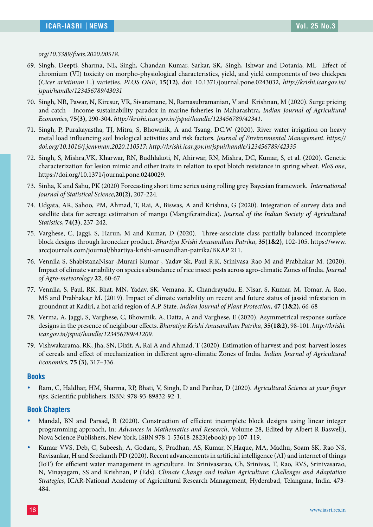*org/10.3389/fvets.2020.00518*.

- 69. Singh, Deepti, Sharma, NL, Singh, Chandan Kumar, Sarkar, SK, Singh, Ishwar and Dotania, ML Effect of chromium (VI) toxicity on morpho-physiological characteristics, yield, and yield components of two chickpea (*Cicer arietinum* L.) varieties. *PLOS ONE*, **15(12)**, doi: 10.1371/journal.pone.0243032, *http://krishi.icar.gov.in/ jspui/handle/123456789/43031*
- 70. Singh, NR, Pawar, N, Kiresur, VR, Sivaramane, N, Ramasubramanian, V and Krishnan, M (2020). Surge pricing and catch - Income sustainability paradox in marine fisheries in Maharashtra, *Indian Journal of Agricultural Economics*, **75(3)**, 290-304. *http://krishi.icar.gov.in/jspui/handle/123456789/42341.*
- 71. Singh, P, Purakayastha, TJ, Mitra, S, Bhowmik, A and Tsang, DC.W (2020). River water irrigation on heavy metal load influencing soil biological activities and risk factors. *Journal of Environmental Management*. *https:// doi.org/10.1016/j.jenvman.2020.110517; http://krishi.icar.gov.in/jspui/handle/123456789/42335*
- 72. Singh, S, Mishra,VK, Kharwar, RN, Budhlakoti, N, Ahirwar, RN, Mishra, DC, Kumar, S, et al. (2020). Genetic characterization for lesion mimic and other traits in relation to spot blotch resistance in spring wheat. *PloS one*, https://doi.org/10.1371/journal.pone.0240029.
- 73. Sinha, K and Sahu, PK (2020) Forecasting short time series using rolling grey Bayesian framework. *International Journal of Statistical Science,***20(2)**, 207-224.
- 74. Udgata, AR, Sahoo, PM, Ahmad, T, Rai, A, Biswas, A and Krishna, G (2020). Integration of survey data and satellite data for acreage estimation of mango (Mangiferaindica). *Journal of the Indian Society of Agricultural Statistics*, **74(3)**, 237-242.
- 75. Varghese, C, Jaggi, S, Harun, M and Kumar, D (2020). Three-associate class partially balanced incomplete block designs through kronecker product. *Bhartiya Krishi Anusandhan Patrika*, **35(1&2)**, 102-105. https://www. arccjournals.com/journal/bhartiya-krishi-anusandhan-patrika/BKAP 211.
- 76. Vennila S, ShabistanaNisar ,Murari Kumar , Yadav Sk, Paul R.K, Srinivasa Rao M and Prabhakar M. (2020). Impact of climate variability on species abundance of rice insect pests across agro-climatic Zones of India. *Journal of Agro-meteorology* **22**, 60-67
- 77. Vennila, S, Paul, RK, Bhat, MN, Yadav, SK, Vemana, K, Chandrayudu, E, Nisar, S, Kumar, M, Tomar, A, Rao, MS and Prabhaka,r M. (2019). Impact of climate variability on recent and future status of jassid infestation in groundnut at Kadiri, a hot arid region of A.P. State. *Indian Journal of Plant Protection*, **47 (1&2)**, 66-68
- 78. Verma, A, Jaggi, S, Varghese, C, Bhowmik, A, Datta, A and Varghese, E (2020). Asymmetrical response surface designs in the presence of neighbour effects. *Bharatiya Krishi Anusandhan Patrika*, **35(1&2)**, 98-101. *http://krishi. icar.gov.in/jspui/handle/123456789/41209.*
- 79. Vishwakarama, RK, Jha, SN, Dixit, A, Rai A and Ahmad, T (2020). Estimation of harvest and post-harvest losses of cereals and effect of mechanization in different agro-climatic Zones of India. *Indian Journal of Agricultural Economics*, **75 (3)**, 317–336.

#### **Books**

y Ram, C, Haldhar, HM, Sharma, RP, Bhati, V, Singh, D and Parihar, D (2020). *Agricultural Science at your finger tips*. Scientific publishers. ISBN: 978-93-89832-92-1.

#### **Book Chapters**

- Mandal, BN and Parsad, R (2020). Construction of efficient incomplete block designs using linear integer programming approach, In: *Advances in Mathematics and Research*, Volume 28, Edited by Albert R Baswell), Nova Science Publishers, New York, ISBN 978-1-53618-2823(ebook) pp 107-119.
- y Kumar VVS, Deb**,** C, Subeesh, A, Godara**,** S, Pradhan, AS, Kumar, N,Haque**,** MA, Madhu**,** Soam SK, Rao NS, Ravisankar, H and Sreekanth PD (2020). Recent advancements in artificial intelligence (AI) and internet of things (IoT) for efficient water management in agriculture. In: Srinivasarao, Ch, Srinivas, T, Rao, RVS, Srinivasarao, N, Vinayagam, SS and Krishnan, P (Eds). *Climate Change and Indian Agriculture: Challenges and Adaptation Strategies*, ICAR-National Academy of Agricultural Research Management, Hyderabad, Telangana, India. 473- 484.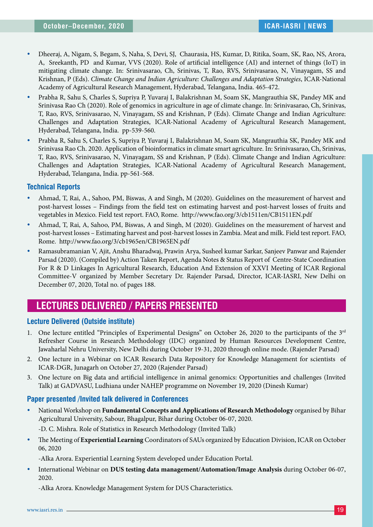- y Dheeraj, A, Nigam, S, Begam, S, Naha, S, Devi, SJ, Chaurasia, HS, Kumar, D, Ritika, Soam, SK, Rao, NS, Arora, A, Sreekanth, PD and Kumar, VVS (2020). Role of artificial intelligence (AI) and internet of things (IoT) in mitigating climate change. In: Srinivasarao, Ch, Srinivas, T, Rao, RVS, Srinivasarao, N, Vinayagam, SS and Krishnan, P (Eds). *Climate Change and Indian Agriculture: Challenges and Adaptation Strategies*, ICAR-National Academy of Agricultural Research Management, Hyderabad, Telangana, India. 465-472.
- y Prabha R, Sahu S, Charles S, Supriya P, Yuvaraj I, Balakrishnan M, Soam SK, Mangrauthia SK, Pandey MK and Srinivasa Rao Ch (2020). Role of genomics in agriculture in age of climate change. In: Srinivasarao, Ch, Srinivas, T, Rao, RVS, Srinivasarao, N, Vinayagam, SS and Krishnan, P (Eds). Climate Change and Indian Agriculture: Challenges and Adaptation Strategies, ICAR-National Academy of Agricultural Research Management, Hyderabad, Telangana, India. pp-539-560.
- Prabha R, Sahu S, Charles S, Supriya P, Yuvaraj I, Balakrishnan M, Soam SK, Mangrauthia SK, Pandey MK and Srinivasa Rao Ch. 2020. Application of bioinformatics in climate smart agriculture. In: Srinivasarao, Ch, Srinivas, T, Rao, RVS, Srinivasarao, N, Vinayagam, SS and Krishnan, P (Eds). Climate Change and Indian Agriculture: Challenges and Adaptation Strategies, ICAR-National Academy of Agricultural Research Management, Hyderabad, Telangana, India. pp-561-568.

#### **Technical Reports**

- y Ahmad, T, Rai, A., Sahoo, PM, Biswas, A and Singh, M (2020). Guidelines on the measurement of harvest and post-harvest losses – Findings from the field test on estimating harvest and post-harvest losses of fruits and vegetables in Mexico. Field test report. FAO, Rome. http://www.fao.org/3/cb1511en/CB1511EN.pdf
- y Ahmad, T, Rai, A, Sahoo, PM, Biswas, A and Singh, M (2020). Guidelines on the measurement of harvest and post-harvest losses – Estimating harvest and post-harvest losses in Zambia. Meat and milk. Field test report. FAO, Rome. http://www.fao.org/3/cb1965en/CB1965EN.pdf
- Ramasubramanian V, Ajit, Anshu Bharadwaj, Prawin Arya, Susheel kumar Sarkar, Sanjeev Panwar and Rajender Parsad (2020). (Compiled by) Action Taken Report, Agenda Notes & Status Report of Centre-State Coordination For R & D Linkages In Agricultural Research, Education And Extension of XXVI Meeting of ICAR Regional Committee-V organized by Member Secretary Dr. Rajender Parsad, Director, ICAR-IASRI, New Delhi on December 07, 2020, Total no. of pages 188.

# **LECTURES DELIVERED / PAPERS PRESENTED**

#### **Lecture Delivered (Outside institute)**

- 1. One lecture entitled "Principles of Experimental Designs" on October 26, 2020 to the participants of the 3rd Refresher Course in Research Methodology (IDC) organized by Human Resources Development Centre, Jawaharlal Nehru University, New Delhi during October 19-31, 2020 through online mode. (Rajender Parsad)
- 2. One lecture in a Webinar on ICAR Research Data Repository for Knowledge Management for scientists of ICAR-DGR, Junagarh on October 27, 2020 (Rajender Parsad)
- 3. One lecture on Big data and artificial intelligence in animal genomics: Opportunities and challenges (Invited Talk) at GADVASU, Ludhiana under NAHEP programme on November 19, 2020 (Dinesh Kumar)

#### **Paper presented /Invited talk delivered in Conferences**

**• National Workshop on Fundamental Concepts and Applications of Research Methodology** organised by Bihar Agricultural University, Sabour, Bhagalpur, Bihar during October 06-07, 2020.

-D. C. Mishra. Role of Statistics in Research Methodology (Invited Talk)

y The Meeting of **Experiential Learning** Coordinators of SAUs organized by Education Division, ICAR on October 06, 2020

-Alka Arora. Experiential Learning System developed under Education Portal.

y International Webinar on **DUS testing data management/Automation/Image Analysis** during October 06-07, 2020.

-Alka Arora. Knowledge Management System for DUS Characteristics.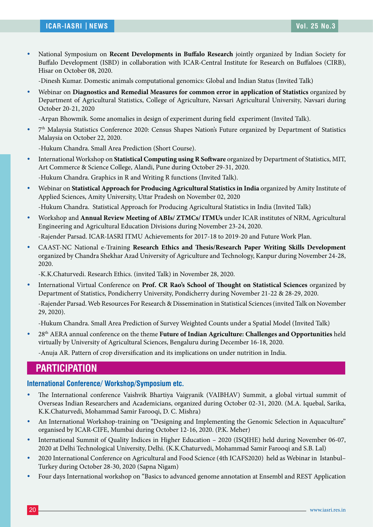**•** National Symposium on **Recent Developments in Buffalo Research** jointly organized by Indian Society for Buffalo Development (ISBD) in collaboration with ICAR-Central Institute for Research on Buffaloes (CIRB), Hisar on October 08, 2020.

-Dinesh Kumar. Domestic animals computational genomics: Global and Indian Status (Invited Talk)

y Webinar on **Diagnostics and Remedial Measures for common error in application of Statistics** organized by Department of Agricultural Statistics, College of Agriculture, Navsari Agricultural University, Navsari during October 20-21, 2020

-Arpan Bhowmik. Some anomalies in design of experiment during field experiment (Invited Talk).

<sup>•</sup> 7<sup>th</sup> Malaysia Statistics Conference 2020: Census Shapes Nation's Future organized by Department of Statistics Malaysia on October 22, 2020.

-Hukum Chandra. Small Area Prediction (Short Course).

- y International Workshop on **Statistical Computing using R Software** organized by Department of Statistics, MIT, Art Commerce & Science College, Alandi, Pune during October 29-31, 2020. -Hukum Chandra. Graphics in R and Writing R functions (Invited Talk).
- y Webinar on **Statistical Approach for Producing Agricultural Statistics in India** organized by Amity Institute of Applied Sciences, Amity University, Uttar Pradesh on November 02, 2020 -Hukum Chandra. Statistical Approach for Producing Agricultural Statistics in India (Invited Talk)
- y Workshop and **Annual Review Meeting of ABIs/ ZTMCs/ ITMUs** under ICAR institutes of NRM, Agricultural Engineering and Agricultural Education Divisions during November 23-24, 2020. -Rajender Parsad. ICAR-IASRI ITMU Achievements for 2017-18 to 2019-20 and Future Work Plan.
- y CAAST-NC National e-Training **Research Ethics and Thesis/Research Paper Writing Skills Development** organized by Chandra Shekhar Azad University of Agriculture and Technology, Kanpur during November 24-28, 2020.

-K.K.Chaturvedi. Research Ethics. (invited Talk) in November 28, 2020.

y International Virtual Conference on **Prof. CR Rao's School of Thought on Statistical Sciences** organized by Department of Statistics, Pondicherry University, Pondicherry during November 21-22 & 28-29, 2020. -Rajender Parsad. Web Resources For Research & Dissemination in Statistical Sciences (invited Talk on November 29, 2020).

-Hukum Chandra. Small Area Prediction of Survey Weighted Counts under a Spatial Model (Invited Talk)

y 28th AERA annual conference on the theme **Future of Indian Agriculture: Challenges and Opportunities** held virtually by University of Agricultural Sciences, Bengaluru during December 16-18, 2020.

-Anuja AR. Pattern of crop diversification and its implications on under nutrition in India.

## **PARTICIPATION**

#### **International Conference/ Workshop/Symposium etc.**

- The International conference Vaishvik Bhartiya Vaigyanik (VAIBHAV) Summit, a global virtual summit of Overseas Indian Researchers and Academicians, organized during October 02-31, 2020. (M.A. Iquebal, Sarika, K.K.Chaturvedi, Mohammad Samir Farooqi, D. C. Mishra)
- An International Workshop-training on "Designing and Implementing the Genomic Selection in Aquaculture" organised by ICAR-CIFE, Mumbai during October 12-16, 2020. (P.K. Meher)
- International Summit of Quality Indices in Higher Education 2020 (ISQIHE) held during November 06-07, 2020 at Delhi Technological University, Delhi. (K.K.Chaturvedi, Mohammad Samir Farooqi and S.B. Lal)
- \* 2020 International Conference on Agricultural and Food Science (4th ICAFS2020) held as Webinar in Istanbul– Turkey during October 28-30, 2020 (Sapna Nigam)
- Four days International workshop on "Basics to advanced genome annotation at Ensembl and REST Application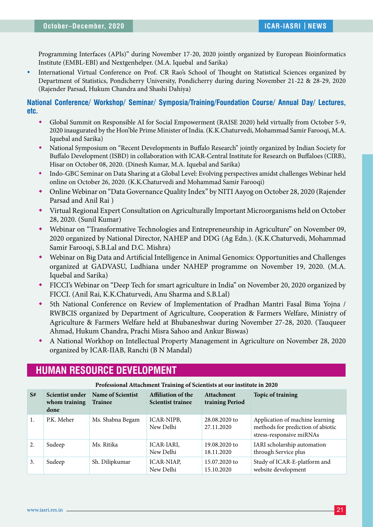Programming Interfaces (APIs)" during November 17-20, 2020 jointly organized by European Bioinformatics Institute (EMBL-EBI) and Nextgenhelper. (M.A. Iquebal and Sarika)

International Virtual Conference on Prof. CR Rao's School of Thought on Statistical Sciences organized by Department of Statistics, Pondicherry University, Pondicherry during during November 21-22 & 28-29, 2020 (Rajender Parsad, Hukum Chandra and Shashi Dahiya)

**National Conference/ Workshop/ Seminar/ Symposia/Training/Foundation Course/ Annual Day/ Lectures, etc.**

- Global Summit on Responsible AI for Social Empowerment (RAISE 2020) held virtually from October 5-9, 2020 inaugurated by the Hon'ble Prime Minister of India. (K.K.Chaturvedi, Mohammad Samir Farooqi, M.A. Iquebal and Sarika)
- National Symposium on "Recent Developments in Buffalo Research" jointly organized by Indian Society for Buffalo Development (ISBD) in collaboration with ICAR-Central Institute for Research on Buffaloes (CIRB), Hisar on October 08, 2020. (Dinesh Kumar, M.A. Iquebal and Sarika)
- Indo-GBC Seminar on Data Sharing at a Global Level: Evolving perspectives amidst challenges Webinar held online on October 26, 2020. (K.K.Chaturvedi and Mohammad Samir Farooqi)
- Online Webinar on "Data Governance Quality Index" by NITI Aayog on October 28, 2020 (Rajender Parsad and Anil Rai )
- Virtual Regional Expert Consultation on Agriculturally Important Microorganisms held on October 28, 2020. (Sunil Kumar)
- Webinar on "Transformative Technologies and Entrepreneurship in Agriculture" on November 09, 2020 organized by National Director, NAHEP and DDG (Ag Edn.). (K.K.Chaturvedi, Mohammad Samir Farooqi, S.B.Lal and D.C. Mishra)
- Webinar on Big Data and Artificial Intelligence in Animal Genomics: Opportunities and Challenges organized at GADVASU, Ludhiana under NAHEP programme on November 19, 2020. (M.A. Iquebal and Sarika)
- FICCI's Webinar on "Deep Tech for smart agriculture in India" on November 20, 2020 organized by FICCI. (Anil Rai, K.K.Chaturvedi, Anu Sharma and S.B.Lal)
- 5th National Conference on Review of Implementation of Pradhan Mantri Fasal Bima Yojna / RWBCIS organized by Department of Agriculture, Cooperation & Farmers Welfare, Ministry of Agriculture & Farmers Welfare held at Bhubaneshwar during November 27-28, 2020. (Tauqueer Ahmad, Hukum Chandra, Prachi Misra Sahoo and Ankur Biswas)
- A National Workhop on Intellectual Property Management in Agriculture on November 28, 2020 organized by ICAR-IIAB, Ranchi (B N Mandal)

# **HUMAN RESOURCE DEVELOPMENT**

|    | Troicssional Attachment Training of Scientists at our mstitute in 2020 |                                     |                                                |                               |                                                                                                  |
|----|------------------------------------------------------------------------|-------------------------------------|------------------------------------------------|-------------------------------|--------------------------------------------------------------------------------------------------|
| S# | Scientist under<br>whom training<br>done                               | Name of Scientist<br><b>Trainee</b> | Affiliation of the<br><b>Scientist trainee</b> | Attachment<br>training Period | <b>Topic of training</b>                                                                         |
| 1. | P.K. Meher                                                             | Ms. Shabna Begam                    | ICAR-NIPB,<br>New Delhi                        | 28.08.2020 to<br>27.11.2020   | Application of machine learning<br>methods for prediction of abiotic<br>stress-responsive miRNAs |
| 2. | Sudeep                                                                 | Ms. Ritika                          | ICAR-IARI,<br>New Delhi                        | 19.08.2020 to<br>18.11.2020   | IARI scholarship automation<br>through Service plus                                              |
| 3. | Sudeep                                                                 | Sh. Dilipkumar                      | <b>ICAR-NIAP.</b><br>New Delhi                 | 15.07.2020 to<br>15.10.2020   | Study of ICAR-E-platform and<br>website development                                              |

#### **Professional Attachment Training of Scientists at our institute in 2020**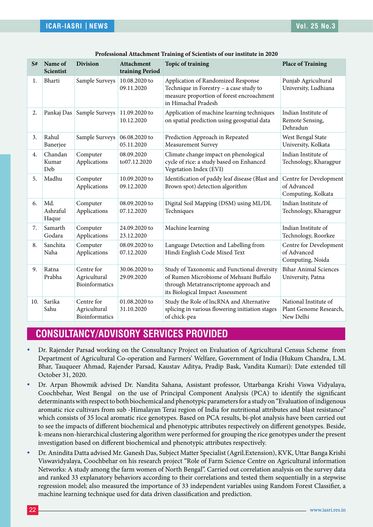| S#  | Name of<br><b>Scientist</b> | <b>Division</b>                              | <b>Attachment</b><br>training Period | <b>Topic of training</b>                                                                                                                                            | <b>Place of Training</b>                                     |
|-----|-----------------------------|----------------------------------------------|--------------------------------------|---------------------------------------------------------------------------------------------------------------------------------------------------------------------|--------------------------------------------------------------|
| 1.  | Bharti                      | Sample Surveys                               | 10.08.2020 to<br>09.11.2020          | Application of Randomized Response<br>Technique in Forestry - a case study to<br>measure proportion of forest encroachment<br>in Himachal Pradesh                   | Punjab Agricultural<br>University, Ludhiana                  |
| 2.  | Pankaj Das                  | Sample Surveys                               | 11.09.2020 to<br>10.12.2020          | Application of machine learning techniques<br>on spatial prediction using geospatial data                                                                           | Indian Institute of<br>Remote Sensing,<br>Dehradun           |
| 3.  | Rahul<br>Banerjee           | Sample Surveys                               | 06.08.2020 to<br>05.11.2020          | Prediction Approach in Repeated<br>Measurement Survey                                                                                                               | West Bengal State<br>University, Kolkata                     |
| 4.  | Chandan<br>Kumar<br>Deb     | Computer<br>Applications                     | 08.09.2020<br>to07.12.2020           | Climate change impact on phenological<br>cycle of rice: a study based on Enhanced<br>Vegetation Index (EVI)                                                         | Indian Institute of<br>Technology, Kharagpur                 |
| 5.  | Madhu                       | Computer<br>Applications                     | 10.09.2020 to<br>09.12.2020          | Identification of paddy leaf disease (Blast and<br>Brown spot) detection algorithm                                                                                  | Centre for Development<br>of Advanced<br>Computing, Kolkata  |
| 6.  | Md.<br>Ashraful<br>Haque    | Computer<br>Applications                     | 08.09.2020 to<br>07.12.2020          | Digital Soil Mapping (DSM) using ML/DL<br>Techniques                                                                                                                | Indian Institute of<br>Technology, Kharagpur                 |
| 7.  | Samarth<br>Godara           | Computer<br>Applications                     | 24.09.2020 to<br>23.12.2020          | Machine learning                                                                                                                                                    | Indian Institute of<br>Technology, Roorkee                   |
| 8.  | Sanchita<br>Naha            | Computer<br>Applications                     | 08.09.2020 to<br>07.12.2020          | Language Detection and Labelling from<br>Hindi English Code Mixed Text                                                                                              | Centre for Development<br>of Advanced<br>Computing, Noida    |
| 9.  | Ratna<br>Prabha             | Centre for<br>Agricultural<br>Bioinformatics | 30.06.2020 to<br>29.09.2020          | Study of Taxonomic and Functional diversity<br>of Rumen Microbiome of Mehsani Buffalo<br>through Metatranscriptome approach and<br>its Biological Impact Assessment | <b>Bihar Animal Sciences</b><br>University, Patna            |
| 10. | Sarika<br>Sahu              | Centre for<br>Agricultural<br>Bioinformatics | 01.08.2020 to<br>31.10.2020          | Study the Role of lncRNA and Alternative<br>splicing in various flowering initiation stages<br>of chick-pea                                                         | National Institute of<br>Plant Genome Research,<br>New Delhi |

| Professional Attachment Training of Scientists of our institute in 2020 |  |  |  |
|-------------------------------------------------------------------------|--|--|--|
|-------------------------------------------------------------------------|--|--|--|

# **CONSULTANCY/ADVISORY SERVICES PROVIDED**

- Dr. Rajender Parsad working on the Consultancy Project on Evaluation of Agricultural Census Scheme from Department of Agricultural Co-operation and Farmers' Welfare, Government of India (Hukum Chandra, L.M. Bhar, Tauqueer Ahmad, Rajender Parsad, Kaustav Aditya, Pradip Bask, Vandita Kumari): Date extended till October 31, 2020.
- Dr. Arpan Bhowmik advised Dr. Nandita Sahana, Assistant professor, Uttarbanga Krishi Viswa Vidyalaya, Coochbehar, West Bengal on the use of Principal Component Analysis (PCA) to identify the significant determinants with respect to both biochemical and phenotypic parameters for a study on "Evaluation of indigenous aromatic rice cultivars from sub -Himalayan Terai region of India for nutritional attributes and blast resistance" which consists of 35 local aromatic rice genotypes. Based on PCA results, bi-plot analysis have been carried out to see the impacts of different biochemical and phenotypic attributes respectively on different genotypes. Beside, k-means non-hierarchical clustering algorithm were performed for grouping the rice genotypes under the present investigation based on different biochemical and phenotypic attributes respectively.
- y Dr. Anindita Datta advised Mr. Ganesh Das, Subject Matter Specialist (Agril.Extension), KVK, Uttar Banga Krishi Viswavidyalaya, Coochbehar on his research project "Role of Farm Science Centre on Agricultural information Networks: A study among the farm women of North Bengal". Carried out correlation analysis on the survey data and ranked 33 explanatory behaviors according to their correlations and tested them sequentially in a stepwise regression model; also measured the importance of 33 independent variables using Random Forest Classifier, a machine learning technique used for data driven classification and prediction.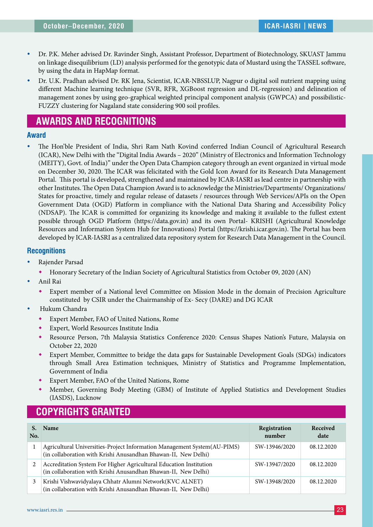- y Dr. P.K. Meher advised Dr. Ravinder Singh, Assistant Professor, Department of Biotechnology, SKUAST Jammu on linkage disequilibrium (LD) analysis performed for the genotypic data of Mustard using the TASSEL software, by using the data in HapMap format.
- y Dr. U.K. Pradhan advised Dr. RK Jena, Scientist, ICAR-NBSSLUP, Nagpur o digital soil nutrient mapping using different Machine learning technique (SVR, RFR, XGBoost regression and DL-regression) and delineation of management zones by using geo-graphical weighted principal component analysis (GWPCA) and possibilistic-FUZZY clustering for Nagaland state considering 900 soil profiles.

## **AWARDS AND RECOGNITIONS**

#### **Award**

The Hon'ble President of India, Shri Ram Nath Kovind conferred Indian Council of Agricultural Research (ICAR), New Delhi with the "Digital India Awards – 2020" (Ministry of Electronics and Information Technology (MEITY), Govt. of India)" under the Open Data Champion category through an event organized in virtual mode on December 30, 2020. The ICAR was felicitated with the Gold Icon Award for its Research Data Management Portal. This portal is developed, strengthened and maintained by ICAR-IASRI as lead centre in partnership with other Institutes. The Open Data Champion Award is to acknowledge the Ministries/Departments/ Organizations/ States for proactive, timely and regular release of datasets / resources through Web Services/APIs on the Open Government Data (OGD) Platform in compliance with the National Data Sharing and Accessibility Policy (NDSAP). The ICAR is committed for organizing its knowledge and making it available to the fullest extent possible through OGD Platform (https://data.gov.in) and its own Portal- KRISHI (Agricultural Knowledge Resources and Information System Hub for Innovations) Portal (https://krishi.icar.gov.in). The Portal has been developed by ICAR-IASRI as a centralized data repository system for Research Data Management in the Council.

#### **Recognitions**

- Rajender Parsad
	- Honorary Secretary of the Indian Society of Agricultural Statistics from October 09, 2020 (AN)
- Anil Rai
	- Expert member of a National level Committee on Mission Mode in the domain of Precision Agriculture constituted by CSIR under the Chairmanship of Ex- Secy (DARE) and DG ICAR
- Hukum Chandra
	- Expert Member, FAO of United Nations, Rome
	- Expert, World Resources Institute India
	- Resource Person, 7th Malaysia Statistics Conference 2020: Census Shapes Nation's Future, Malaysia on October 22, 2020
	- Expert Member, Committee to bridge the data gaps for Sustainable Development Goals (SDGs) indicators through Small Area Estimation techniques, Ministry of Statistics and Programme Implementation, Government of India
	- Expert Member, FAO of the United Nations, Rome
	- Member, Governing Body Meeting (GBM) of Institute of Applied Statistics and Development Studies (IASDS), Lucknow

## **COPYRIGHTS GRANTED**

| No. | <b>Name</b>                                                                                                                                | Registration<br>number | Received<br>date |
|-----|--------------------------------------------------------------------------------------------------------------------------------------------|------------------------|------------------|
|     | Agricultural Universities-Project Information Management System(AU-PIMS)<br>(in collaboration with Krishi Anusandhan Bhawan-II, New Delhi) | SW-13946/2020          | 08.12.2020       |
|     | Accreditation System For Higher Agricultural Education Institution<br>(in collaboration with Krishi Anusandhan Bhawan-II, New Delhi)       | SW-13947/2020          | 08.12.2020       |
| 3   | Krishi Vishwavidyalaya Chhatr Alumni Network(KVC ALNET)<br>(in collaboration with Krishi Anusandhan Bhawan-II, New Delhi)                  | SW-13948/2020          | 08.12.2020       |